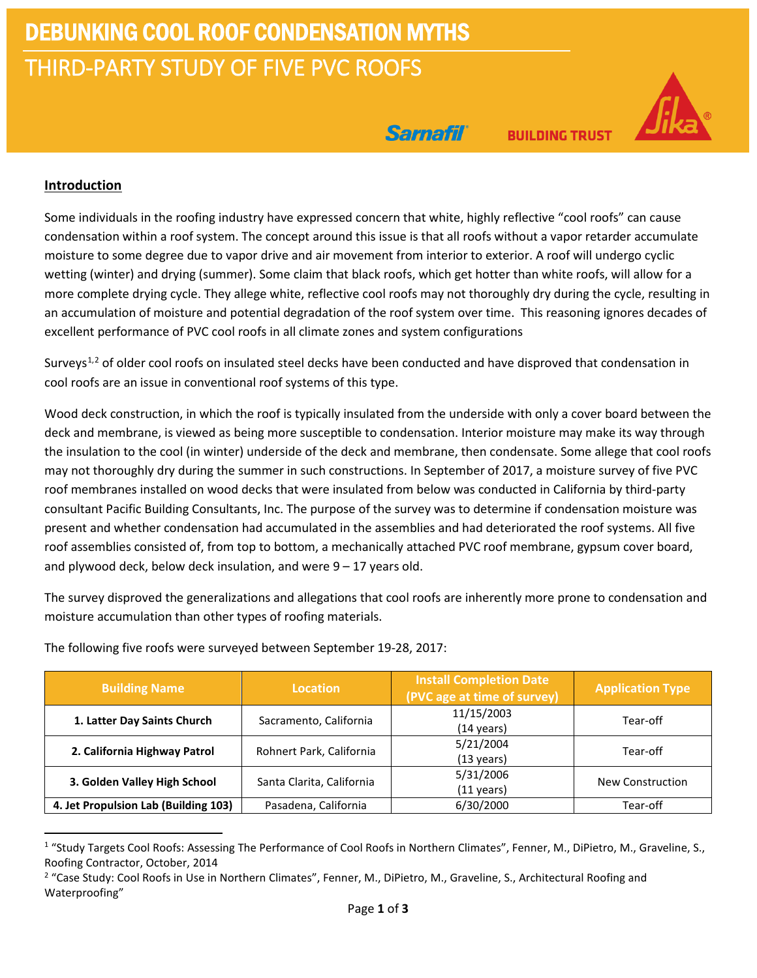# DEBUNKING COOL ROOF CONDENSATION MYTHS THIRD-PARTY STUDY OF FIVE PVC ROOFS

Sarnafil

**BUILDING TRUST** 

### **Introduction**

Some individuals in the roofing industry have expressed concern that white, highly reflective "cool roofs" can cause condensation within a roof system. The concept around this issue is that all roofs without a vapor retarder accumulate moisture to some degree due to vapor drive and air movement from interior to exterior. A roof will undergo cyclic wetting (winter) and drying (summer). Some claim that black roofs, which get hotter than white roofs, will allow for a more complete drying cycle. They allege white, reflective cool roofs may not thoroughly dry during the cycle, resulting in an accumulation of moisture and potential degradation of the roof system over time. This reasoning ignores decades of excellent performance of PVC cool roofs in all climate zones and system configurations

Surveys<sup>[1](#page-0-0),[2](#page-0-1)</sup> of older cool roofs on insulated steel decks have been conducted and have disproved that condensation in cool roofs are an issue in conventional roof systems of this type.

Wood deck construction, in which the roof is typically insulated from the underside with only a cover board between the deck and membrane, is viewed as being more susceptible to condensation. Interior moisture may make its way through the insulation to the cool (in winter) underside of the deck and membrane, then condensate. Some allege that cool roofs may not thoroughly dry during the summer in such constructions. In September of 2017, a moisture survey of five PVC roof membranes installed on wood decks that were insulated from below was conducted in California by third-party consultant Pacific Building Consultants, Inc. The purpose of the survey was to determine if condensation moisture was present and whether condensation had accumulated in the assemblies and had deteriorated the roof systems. All five roof assemblies consisted of, from top to bottom, a mechanically attached PVC roof membrane, gypsum cover board, and plywood deck, below deck insulation, and were  $9 - 17$  years old.

The survey disproved the generalizations and allegations that cool roofs are inherently more prone to condensation and moisture accumulation than other types of roofing materials.

| <b>Building Name</b>                 | <b>Location</b>           | <b>Install Completion Date</b><br>(PVC age at time of survey) | <b>Application Type</b> |
|--------------------------------------|---------------------------|---------------------------------------------------------------|-------------------------|
| 1. Latter Day Saints Church          | Sacramento, California    | 11/15/2003<br>(14 years)                                      | Tear-off                |
| 2. California Highway Patrol         | Rohnert Park, California  | 5/21/2004<br>(13 years)                                       | Tear-off                |
| 3. Golden Valley High School         | Santa Clarita, California | 5/31/2006<br>(11 years)                                       | New Construction        |
| 4. Jet Propulsion Lab (Building 103) | Pasadena, California      | 6/30/2000                                                     | Tear-off                |

The following five roofs were surveyed between September 19-28, 2017:

<span id="page-0-0"></span><sup>&</sup>lt;sup>1</sup> "Study Targets Cool Roofs: Assessing The Performance of Cool Roofs in Northern Climates", Fenner, M., DiPietro, M., Graveline, S., Roofing Contractor, October, 2014

<span id="page-0-1"></span><sup>&</sup>lt;sup>2</sup> "Case Study: Cool Roofs in Use in Northern Climates", Fenner, M., DiPietro, M., Graveline, S., Architectural Roofing and Waterproofing"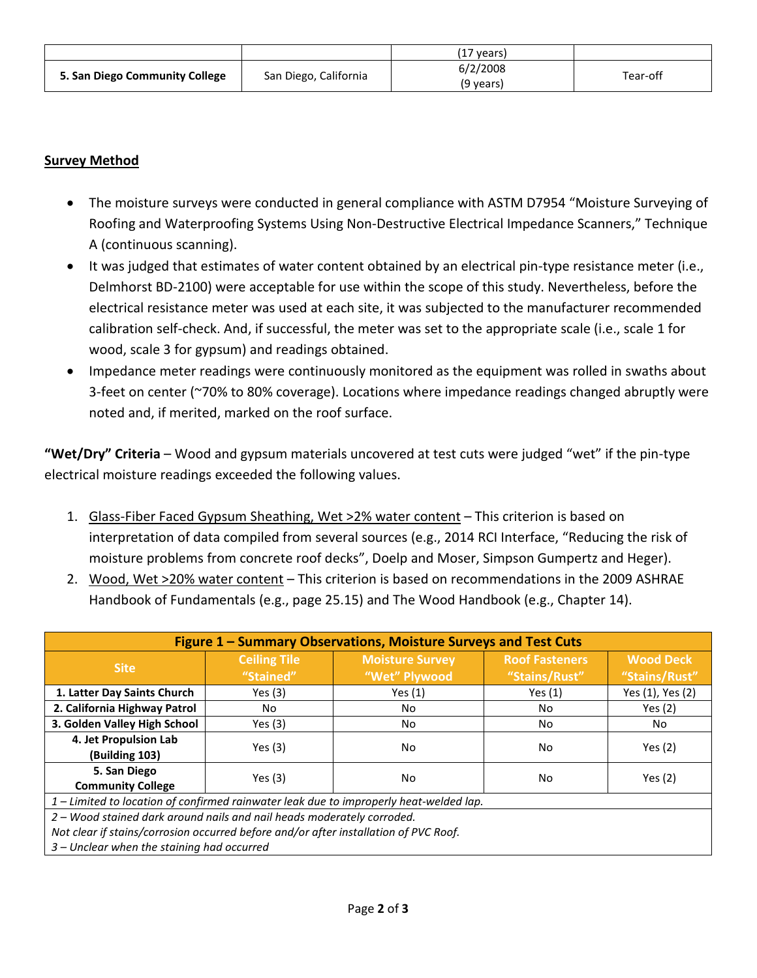|                                |                       | (17 years) |          |  |
|--------------------------------|-----------------------|------------|----------|--|
| 5. San Diego Community College | San Diego, California | 6/2/2008   | Tear-off |  |
|                                |                       | (9 vears)  |          |  |

# **Survey Method**

- The moisture surveys were conducted in general compliance with ASTM D7954 "Moisture Surveying of Roofing and Waterproofing Systems Using Non-Destructive Electrical Impedance Scanners," Technique A (continuous scanning).
- It was judged that estimates of water content obtained by an electrical pin-type resistance meter (i.e., Delmhorst BD-2100) were acceptable for use within the scope of this study. Nevertheless, before the electrical resistance meter was used at each site, it was subjected to the manufacturer recommended calibration self-check. And, if successful, the meter was set to the appropriate scale (i.e., scale 1 for wood, scale 3 for gypsum) and readings obtained.
- Impedance meter readings were continuously monitored as the equipment was rolled in swaths about 3-feet on center (~70% to 80% coverage). Locations where impedance readings changed abruptly were noted and, if merited, marked on the roof surface.

**"Wet/Dry" Criteria** – Wood and gypsum materials uncovered at test cuts were judged "wet" if the pin-type electrical moisture readings exceeded the following values.

- 1. Glass-Fiber Faced Gypsum Sheathing, Wet >2% water content This criterion is based on interpretation of data compiled from several sources (e.g., 2014 RCI Interface, "Reducing the risk of moisture problems from concrete roof decks", Doelp and Moser, Simpson Gumpertz and Heger).
- 2. Wood, Wet >20% water content This criterion is based on recommendations in the 2009 ASHRAE Handbook of Fundamentals (e.g., page 25.15) and The Wood Handbook (e.g., Chapter 14).

| Figure 1 - Summary Observations, Moisture Surveys and Test Cuts                        |                                  |                                         |                                        |                                   |  |  |
|----------------------------------------------------------------------------------------|----------------------------------|-----------------------------------------|----------------------------------------|-----------------------------------|--|--|
| <b>Site</b>                                                                            | <b>Ceiling Tile</b><br>"Stained" | <b>Moisture Survey</b><br>"Wet" Plywood | <b>Roof Fasteners</b><br>"Stains/Rust" | <b>Wood Deck</b><br>"Stains/Rust" |  |  |
| 1. Latter Day Saints Church                                                            | Yes $(3)$                        | Yes $(1)$                               | Yes $(1)$                              | Yes (1), Yes (2)                  |  |  |
| 2. California Highway Patrol                                                           | No.                              | No                                      | No                                     | Yes $(2)$                         |  |  |
| 3. Golden Valley High School                                                           | Yes $(3)$                        | No                                      | No                                     | No                                |  |  |
| 4. Jet Propulsion Lab<br>(Building 103)                                                | Yes $(3)$                        | No                                      | No                                     | Yes $(2)$                         |  |  |
| 5. San Diego<br><b>Community College</b>                                               | Yes $(3)$                        | No                                      | No                                     | Yes $(2)$                         |  |  |
| 1 – Limited to location of confirmed rainwater leak due to improperly heat-welded lap. |                                  |                                         |                                        |                                   |  |  |
| 2 – Wood stained dark around nails and nail heads moderately corroded.                 |                                  |                                         |                                        |                                   |  |  |
| Not clear if stains/corrosion occurred before and/or after installation of PVC Roof.   |                                  |                                         |                                        |                                   |  |  |
| 3 – Unclear when the staining had occurred                                             |                                  |                                         |                                        |                                   |  |  |